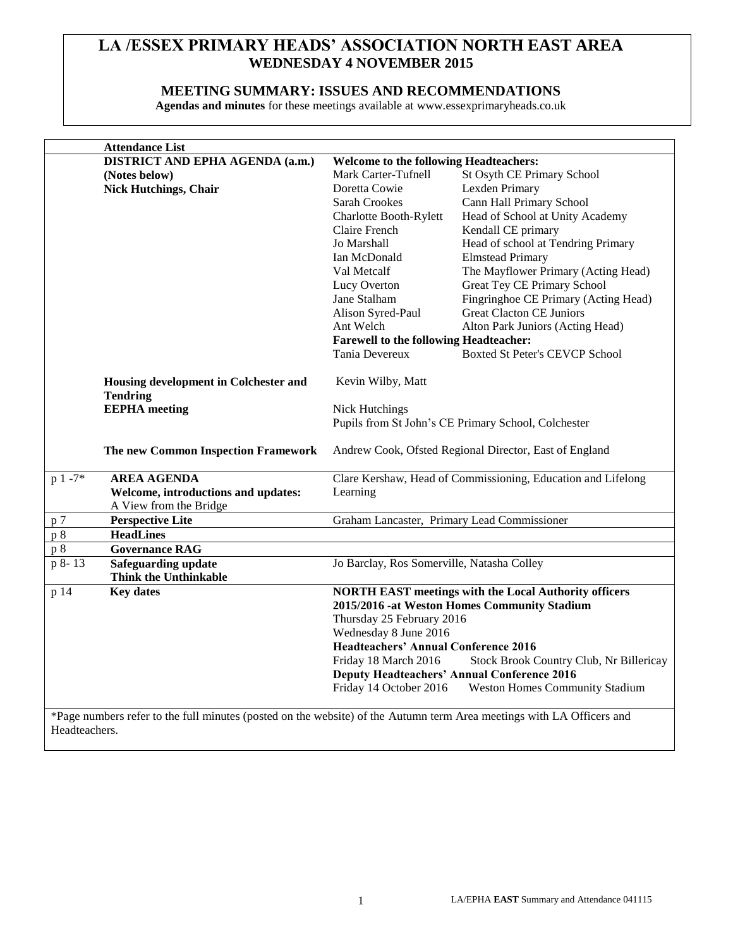## **LA /ESSEX PRIMARY HEADS' ASSOCIATION NORTH EAST AREA WEDNESDAY 4 NOVEMBER 2015**

#### **MEETING SUMMARY: ISSUES AND RECOMMENDATIONS**

**Agendas and minutes** for these meetings available at www.essexprimaryheads.co.uk

|                                                                                                                       | <b>Attendance List</b>                                                           |                                                              |                                                              |  |
|-----------------------------------------------------------------------------------------------------------------------|----------------------------------------------------------------------------------|--------------------------------------------------------------|--------------------------------------------------------------|--|
|                                                                                                                       | DISTRICT AND EPHA AGENDA (a.m.)                                                  | <b>Welcome to the following Headteachers:</b>                |                                                              |  |
|                                                                                                                       | (Notes below)                                                                    | Mark Carter-Tufnell                                          | St Osyth CE Primary School                                   |  |
|                                                                                                                       | <b>Nick Hutchings, Chair</b>                                                     | Doretta Cowie                                                | Lexden Primary                                               |  |
|                                                                                                                       |                                                                                  | Sarah Crookes                                                | Cann Hall Primary School                                     |  |
|                                                                                                                       |                                                                                  | Charlotte Booth-Rylett                                       | Head of School at Unity Academy                              |  |
|                                                                                                                       |                                                                                  | Claire French                                                | Kendall CE primary                                           |  |
|                                                                                                                       |                                                                                  | Jo Marshall                                                  | Head of school at Tendring Primary                           |  |
|                                                                                                                       |                                                                                  | Ian McDonald                                                 | <b>Elmstead Primary</b>                                      |  |
|                                                                                                                       |                                                                                  | Val Metcalf                                                  | The Mayflower Primary (Acting Head)                          |  |
|                                                                                                                       |                                                                                  | Lucy Overton                                                 | <b>Great Tey CE Primary School</b>                           |  |
|                                                                                                                       |                                                                                  | Jane Stalham                                                 | Fingringhoe CE Primary (Acting Head)                         |  |
|                                                                                                                       |                                                                                  | Alison Syred-Paul                                            | <b>Great Clacton CE Juniors</b>                              |  |
|                                                                                                                       |                                                                                  | Ant Welch                                                    | Alton Park Juniors (Acting Head)                             |  |
|                                                                                                                       |                                                                                  | <b>Farewell to the following Headteacher:</b>                |                                                              |  |
|                                                                                                                       |                                                                                  | Tania Devereux                                               | <b>Boxted St Peter's CEVCP School</b>                        |  |
|                                                                                                                       |                                                                                  |                                                              |                                                              |  |
|                                                                                                                       | Housing development in Colchester and<br><b>Tendring</b><br><b>EEPHA</b> meeting | Kevin Wilby, Matt                                            |                                                              |  |
|                                                                                                                       |                                                                                  |                                                              |                                                              |  |
|                                                                                                                       |                                                                                  | <b>Nick Hutchings</b>                                        |                                                              |  |
|                                                                                                                       |                                                                                  | Pupils from St John's CE Primary School, Colchester          |                                                              |  |
|                                                                                                                       |                                                                                  |                                                              |                                                              |  |
|                                                                                                                       | The new Common Inspection Framework                                              | Andrew Cook, Ofsted Regional Director, East of England       |                                                              |  |
|                                                                                                                       |                                                                                  |                                                              |                                                              |  |
| $p 1 - 7*$                                                                                                            | <b>AREA AGENDA</b>                                                               |                                                              | Clare Kershaw, Head of Commissioning, Education and Lifelong |  |
|                                                                                                                       | Welcome, introductions and updates:                                              | Learning                                                     |                                                              |  |
|                                                                                                                       | A View from the Bridge                                                           |                                                              |                                                              |  |
| p 7                                                                                                                   | <b>Perspective Lite</b>                                                          | Graham Lancaster, Primary Lead Commissioner                  |                                                              |  |
| p8                                                                                                                    | <b>HeadLines</b>                                                                 |                                                              |                                                              |  |
| p 8                                                                                                                   | <b>Governance RAG</b>                                                            |                                                              |                                                              |  |
| p 8-13                                                                                                                | <b>Safeguarding update</b>                                                       | Jo Barclay, Ros Somerville, Natasha Colley                   |                                                              |  |
|                                                                                                                       | <b>Think the Unthinkable</b>                                                     |                                                              |                                                              |  |
| p 14                                                                                                                  | <b>Key dates</b>                                                                 | <b>NORTH EAST meetings with the Local Authority officers</b> |                                                              |  |
|                                                                                                                       |                                                                                  |                                                              | 2015/2016 -at Weston Homes Community Stadium                 |  |
|                                                                                                                       |                                                                                  | Thursday 25 February 2016                                    |                                                              |  |
|                                                                                                                       |                                                                                  | Wednesday 8 June 2016                                        |                                                              |  |
|                                                                                                                       |                                                                                  | <b>Headteachers' Annual Conference 2016</b>                  |                                                              |  |
|                                                                                                                       |                                                                                  | Friday 18 March 2016                                         | Stock Brook Country Club, Nr Billericay                      |  |
|                                                                                                                       |                                                                                  |                                                              | <b>Deputy Headteachers' Annual Conference 2016</b>           |  |
|                                                                                                                       |                                                                                  | Friday 14 October 2016                                       | <b>Weston Homes Community Stadium</b>                        |  |
|                                                                                                                       |                                                                                  |                                                              |                                                              |  |
| *Page numbers refer to the full minutes (posted on the website) of the Autumn term Area meetings with LA Officers and |                                                                                  |                                                              |                                                              |  |
| Headteachers.                                                                                                         |                                                                                  |                                                              |                                                              |  |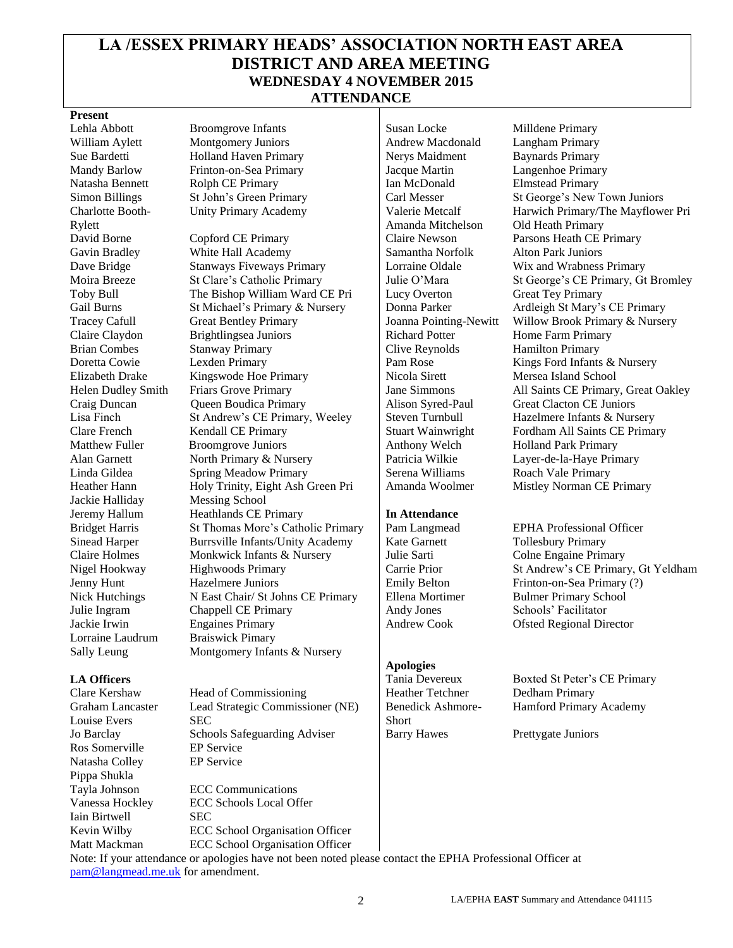## **LA /ESSEX PRIMARY HEADS' ASSOCIATION NORTH EAST AREA DISTRICT AND AREA MEETING WEDNESDAY 4 NOVEMBER 2015 ATTENDANCE**

#### **Present**

Charlotte Booth-Rylett Jackie Halliday Messing School Lorraine Laudrum Braiswick Pimary

Graham Lancaster Louise Evers Ros Somerville EP Service Natasha Colley EP Service Pippa Shukla Iain Birtwell SEC

Lehla Abbott Broomgrove Infants Susan Locke Milldene Primary William Aylett Montgomery Juniors Andrew Macdonald Langham Primary Sue Bardetti **Holland Haven Primary** Nerys Maidment Baynards Primary Mandy Barlow Frinton-on-Sea Primary Jacque Martin Langenhoe Primary Natasha Bennett Rolph CE Primary Ian McDonald Elmstead Primary Unity Primary Academy Valerie Metcalf

David Borne Copford CE Primary Claire Newson Parsons Heath CE Primary Gavin Bradley White Hall Academy Samantha Norfolk Alton Park Juniors Dave Bridge Stanways Fiveways Primary Lorraine Oldale Wix and Wrabness Primary Toby Bull The Bishop William Ward CE Pri Lucy Overton Great Tey Primary Gail Burns St Michael's Primary & Nursery Donna Parker Ardleigh St Mary's CE Primary Tracey Cafull Great Bentley Primary Joanna Pointing-Newitt Willow Brook Primary & Nursery Claire Claydon Brightlingsea Juniors Richard Potter Home Farm Primary Brian Combes Stanway Primary Clive Reynolds Hamilton Primary Doretta Cowie Lexden Primary Pam Rose Kings Ford Infants & Nursery Elizabeth Drake Kingswode Hoe Primary Nicola Sirett Mersea Island School Craig Duncan Queen Boudica Primary Alison Syred-Paul Great Clacton CE Juniors Lisa Finch St Andrew's CE Primary, Weeley Steven Turnbull Hazelmere Infants & Nursery Clare French Kendall CE Primary Stuart Wainwright Fordham All Saints CE Primary Matthew Fuller Broomgrove Juniors Anthony Welch Holland Park Primary Alan Garnett North Primary & Nursery | Patricia Wilkie Layer-de-la-Haye Primary Linda Gildea Spring Meadow Primary Serena Williams Roach Vale Primary Heather Hann Holy Trinity, Eight Ash Green Pri Amanda Woolmer Mistley Norman CE Primary Jeremy Hallum Heathlands CE Primary **In Attendance**  Bridget Harris St Thomas More's Catholic Primary Pam Langmead EPHA Professional Officer Sinead Harper Burrsville Infants/Unity Academy | Kate Garnett Tollesbury Primary Claire Holmes Monkwick Infants & Nursery Julie Sarti Colne Engaine Primary Nigel Hookway Highwoods Primary Carrie Prior St Andrew's CE Primary, Gt Yeldham Jenny Hunt Hazelmere Juniors Emily Belton Frinton-on-Sea Primary (?) Nick Hutchings N East Chair/ St Johns CE Primary Ellena Mortimer Bulmer Primary School Julie Ingram Chappell CE Primary Andy Jones Schools' Facilitator Jackie Irwin Engaines Primary Andrew Cook Ofsted Regional Director Sally Leung Montgomery Infants & Nursery

Clare Kershaw Head of Commissioning Heather Tetchner Dedham Primary Lead Strategic Commissioner (NE) SEC Jo Barclay Schools Safeguarding Adviser Barry Hawes Prettygate Juniors

Tayla Johnson ECC Communications Vanessa Hockley ECC Schools Local Offer Kevin Wilby ECC School Organisation Officer Matt Mackman ECC School Organisation Officer Amanda Mitchelson

#### **Apologies**

Benedick Ashmore-**Short** 

Simon Billings St John's Green Primary Carl Messer St George's New Town Juniors Harwich Primary/The Mayflower Pri Old Heath Primary Moira Breeze St Clare's Catholic Primary Julie O'Mara St George's CE Primary, Gt Bromley Helen Dudley Smith Friars Grove Primary Jane Simmons All Saints CE Primary, Great Oakley

# **LA Officers** Tania Devereux Boxted St Peter's CE Primary

Hamford Primary Academy

Note: If your attendance or apologies have not been noted please contact the EPHA Professional Officer at [pam@langmead.me.uk](mailto:pam@langmead.me.uk) for amendment.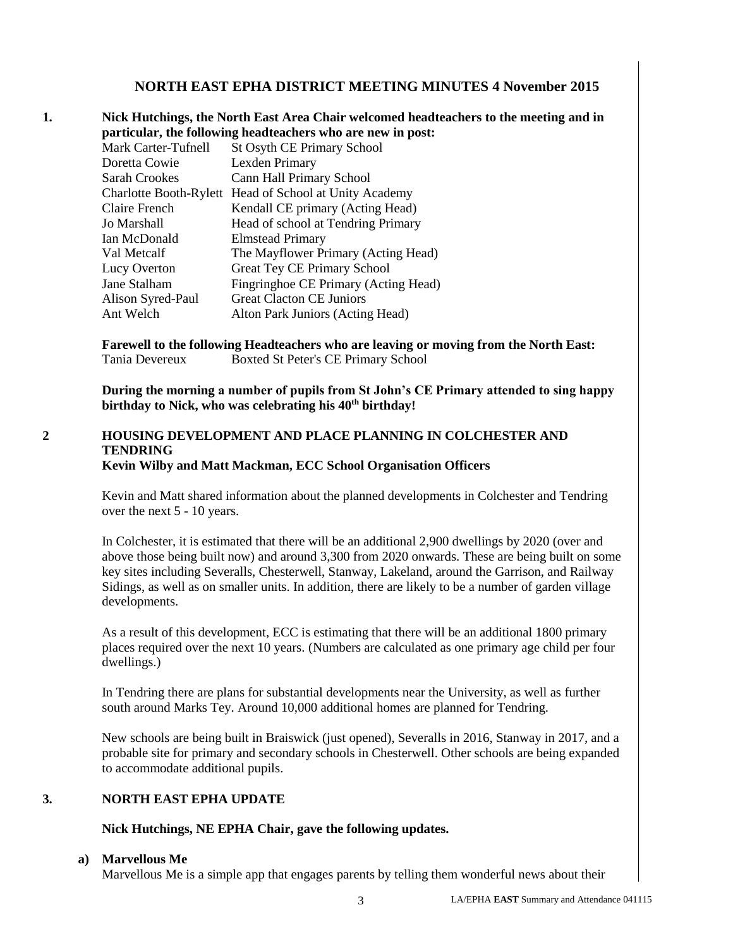#### **NORTH EAST EPHA DISTRICT MEETING MINUTES 4 November 2015**

**1. Nick Hutchings, the North East Area Chair welcomed headteachers to the meeting and in particular, the following headteachers who are new in post:** Mark Carter-Tufnell St Osyth CE Primary School Doretta Cowie Lexden Primary Sarah Crookes Cann Hall Primary School

|                      | Charlotte Booth-Rylett Head of School at Unity Academy |
|----------------------|--------------------------------------------------------|
| <b>Claire French</b> | Kendall CE primary (Acting Head)                       |
| Jo Marshall          | Head of school at Tendring Primary                     |
| Ian McDonald         | <b>Elmstead Primary</b>                                |
| Val Metcalf          | The Mayflower Primary (Acting Head)                    |
| Lucy Overton         | <b>Great Tey CE Primary School</b>                     |
| Jane Stalham         | Fingringhoe CE Primary (Acting Head)                   |
| Alison Syred-Paul    | <b>Great Clacton CE Juniors</b>                        |
| Ant Welch            | Alton Park Juniors (Acting Head)                       |

**Farewell to the following Headteachers who are leaving or moving from the North East:** Tania Devereux Boxted St Peter's CE Primary School

**During the morning a number of pupils from St John's CE Primary attended to sing happy birthday to Nick, who was celebrating his 40th birthday!** 

#### **2 HOUSING DEVELOPMENT AND PLACE PLANNING IN COLCHESTER AND TENDRING Kevin Wilby and Matt Mackman, ECC School Organisation Officers**

Kevin and Matt shared information about the planned developments in Colchester and Tendring over the next 5 - 10 years.

In Colchester, it is estimated that there will be an additional 2,900 dwellings by 2020 (over and above those being built now) and around 3,300 from 2020 onwards. These are being built on some key sites including Severalls, Chesterwell, Stanway, Lakeland, around the Garrison, and Railway Sidings, as well as on smaller units. In addition, there are likely to be a number of garden village developments.

As a result of this development, ECC is estimating that there will be an additional 1800 primary places required over the next 10 years. (Numbers are calculated as one primary age child per four dwellings.)

In Tendring there are plans for substantial developments near the University, as well as further south around Marks Tey. Around 10,000 additional homes are planned for Tendring.

New schools are being built in Braiswick (just opened), Severalls in 2016, Stanway in 2017, and a probable site for primary and secondary schools in Chesterwell. Other schools are being expanded to accommodate additional pupils.

#### **3. NORTH EAST EPHA UPDATE**

#### **Nick Hutchings, NE EPHA Chair, gave the following updates.**

#### **a) Marvellous Me**

Marvellous Me is a simple app that engages parents by telling them wonderful news about their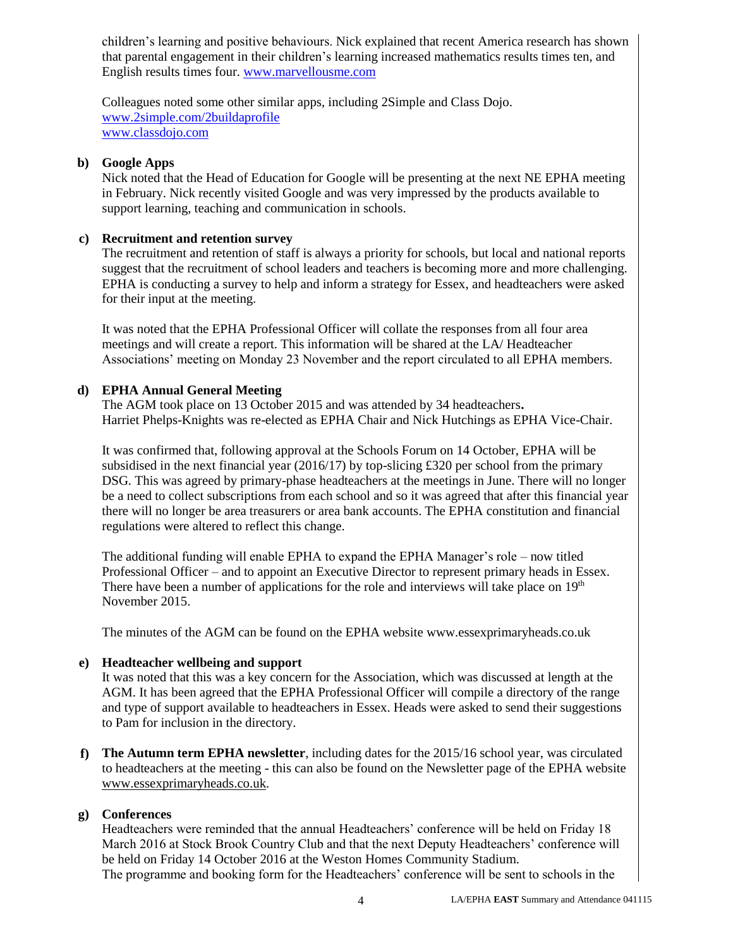children's learning and positive behaviours. Nick explained that recent America research has shown that parental engagement in their children's learning increased mathematics results times ten, and English results times four. [www.marvellousme.com](http://www.marvellousme.com/)

Colleagues noted some other similar apps, including 2Simple and Class Dojo. [www.2simple.com/2buildaprofile](http://www.2simple.com/2buildaprofile) [www.classdojo.com](http://www.classdojo.com/)

#### **b) Google Apps**

Nick noted that the Head of Education for Google will be presenting at the next NE EPHA meeting in February. Nick recently visited Google and was very impressed by the products available to support learning, teaching and communication in schools.

#### **c) Recruitment and retention survey**

The recruitment and retention of staff is always a priority for schools, but local and national reports suggest that the recruitment of school leaders and teachers is becoming more and more challenging. EPHA is conducting a survey to help and inform a strategy for Essex, and headteachers were asked for their input at the meeting.

It was noted that the EPHA Professional Officer will collate the responses from all four area meetings and will create a report. This information will be shared at the LA/ Headteacher Associations' meeting on Monday 23 November and the report circulated to all EPHA members.

#### **d) EPHA Annual General Meeting**

The AGM took place on 13 October 2015 and was attended by 34 headteachers**.**  Harriet Phelps-Knights was re-elected as EPHA Chair and Nick Hutchings as EPHA Vice-Chair.

It was confirmed that, following approval at the Schools Forum on 14 October, EPHA will be subsidised in the next financial year (2016/17) by top-slicing £320 per school from the primary DSG. This was agreed by primary-phase headteachers at the meetings in June. There will no longer be a need to collect subscriptions from each school and so it was agreed that after this financial year there will no longer be area treasurers or area bank accounts. The EPHA constitution and financial regulations were altered to reflect this change.

The additional funding will enable EPHA to expand the EPHA Manager's role – now titled Professional Officer – and to appoint an Executive Director to represent primary heads in Essex. There have been a number of applications for the role and interviews will take place on  $19<sup>th</sup>$ November 2015.

The minutes of the AGM can be found on the EPHA website www.essexprimaryheads.co.uk

### **e) Headteacher wellbeing and support**

It was noted that this was a key concern for the Association, which was discussed at length at the AGM. It has been agreed that the EPHA Professional Officer will compile a directory of the range and type of support available to headteachers in Essex. Heads were asked to send their suggestions to Pam for inclusion in the directory.

**f) The Autumn term EPHA newsletter**, including dates for the 2015/16 school year, was circulated to headteachers at the meeting - this can also be found on the Newsletter page of the EPHA website [www.essexprimaryheads.co.uk.](http://www.essexprimaryheads.co.uk/)

### **g) Conferences**

Headteachers were reminded that the annual Headteachers' conference will be held on Friday 18 March 2016 at Stock Brook Country Club and that the next Deputy Headteachers' conference will be held on Friday 14 October 2016 at the Weston Homes Community Stadium.

The programme and booking form for the Headteachers' conference will be sent to schools in the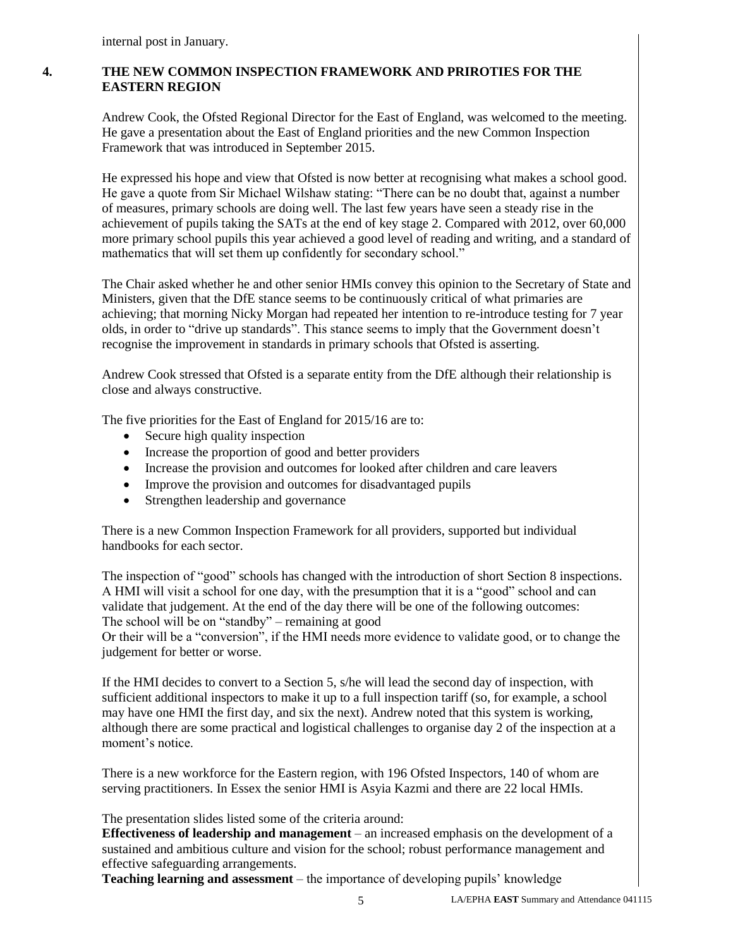internal post in January.

### **4. THE NEW COMMON INSPECTION FRAMEWORK AND PRIROTIES FOR THE EASTERN REGION**

Andrew Cook, the Ofsted Regional Director for the East of England, was welcomed to the meeting. He gave a presentation about the East of England priorities and the new Common Inspection Framework that was introduced in September 2015.

He expressed his hope and view that Ofsted is now better at recognising what makes a school good. He gave a quote from Sir Michael Wilshaw stating: "There can be no doubt that, against a number of measures, primary schools are doing well. The last few years have seen a steady rise in the achievement of pupils taking the SATs at the end of key stage 2. Compared with 2012, over 60,000 more primary school pupils this year achieved a good level of reading and writing, and a standard of mathematics that will set them up confidently for secondary school."

The Chair asked whether he and other senior HMIs convey this opinion to the Secretary of State and Ministers, given that the DfE stance seems to be continuously critical of what primaries are achieving; that morning Nicky Morgan had repeated her intention to re-introduce testing for 7 year olds, in order to "drive up standards". This stance seems to imply that the Government doesn't recognise the improvement in standards in primary schools that Ofsted is asserting.

Andrew Cook stressed that Ofsted is a separate entity from the DfE although their relationship is close and always constructive.

The five priorities for the East of England for 2015/16 are to:

- Secure high quality inspection
- Increase the proportion of good and better providers
- Increase the provision and outcomes for looked after children and care leavers
- Improve the provision and outcomes for disadvantaged pupils
- Strengthen leadership and governance

There is a new Common Inspection Framework for all providers, supported but individual handbooks for each sector.

The inspection of "good" schools has changed with the introduction of short Section 8 inspections. A HMI will visit a school for one day, with the presumption that it is a "good" school and can validate that judgement. At the end of the day there will be one of the following outcomes: The school will be on "standby" – remaining at good

Or their will be a "conversion", if the HMI needs more evidence to validate good, or to change the judgement for better or worse.

If the HMI decides to convert to a Section 5, s/he will lead the second day of inspection, with sufficient additional inspectors to make it up to a full inspection tariff (so, for example, a school may have one HMI the first day, and six the next). Andrew noted that this system is working, although there are some practical and logistical challenges to organise day 2 of the inspection at a moment's notice.

There is a new workforce for the Eastern region, with 196 Ofsted Inspectors, 140 of whom are serving practitioners. In Essex the senior HMI is Asyia Kazmi and there are 22 local HMIs.

The presentation slides listed some of the criteria around:

**Effectiveness of leadership and management** – an increased emphasis on the development of a sustained and ambitious culture and vision for the school; robust performance management and effective safeguarding arrangements.

**Teaching learning and assessment** – the importance of developing pupils' knowledge